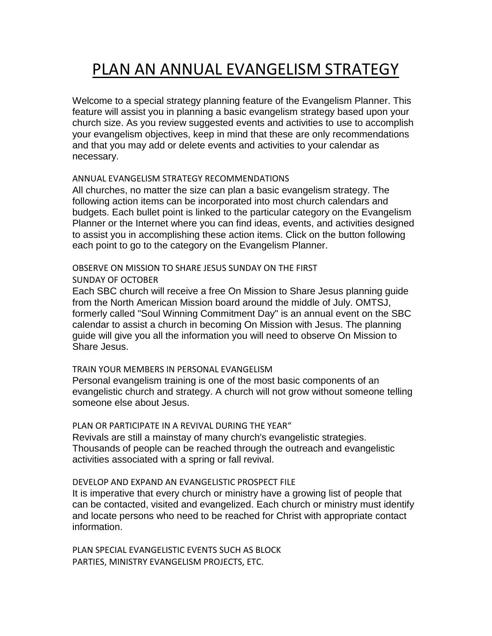# PLAN AN ANNUAL EVANGELISM STRATEGY

Welcome to a special strategy planning feature of the Evangelism Planner. This feature will assist you in planning a basic evangelism strategy based upon your church size. As you review suggested events and activities to use to accomplish your evangelism objectives, keep in mind that these are only recommendations and that you may add or delete events and activities to your calendar as necessary.

#### ANNUAL EVANGELISM STRATEGY RECOMMENDATIONS

All churches, no matter the size can plan a basic evangelism strategy. The following action items can be incorporated into most church calendars and budgets. Each bullet point is linked to the particular category on the Evangelism Planner or the Internet where you can find ideas, events, and activities designed to assist you in accomplishing these action items. Click on the button following each point to go to the category on the Evangelism Planner.

#### OBSERVE ON MISSION TO SHARE JESUS SUNDAY ON THE FIRST SUNDAY OF OCTOBER

Each SBC church will receive a free On Mission to Share Jesus planning guide from the North American Mission board around the middle of July. OMTSJ, formerly called "Soul Winning Commitment Day" is an annual event on the SBC calendar to assist a church in becoming On Mission with Jesus. The planning guide will give you all the information you will need to observe On Mission to Share Jesus.

#### TRAIN YOUR MEMBERS IN PERSONAL EVANGELISM

Personal evangelism training is one of the most basic components of an evangelistic church and strategy. A church will not grow without someone telling someone else about Jesus.

## PLAN OR PARTICIPATE IN A REVIVAL DURING THE YEAR"

Revivals are still a mainstay of many church's evangelistic strategies. Thousands of people can be reached through the outreach and evangelistic activities associated with a spring or fall revival.

#### DEVELOP AND EXPAND AN EVANGELISTIC PROSPECT FILE

It is imperative that every church or ministry have a growing list of people that can be contacted, visited and evangelized. Each church or ministry must identify and locate persons who need to be reached for Christ with appropriate contact information.

PLAN SPECIAL EVANGELISTIC EVENTS SUCH AS BLOCK PARTIES, MINISTRY EVANGELISM PROJECTS, ETC.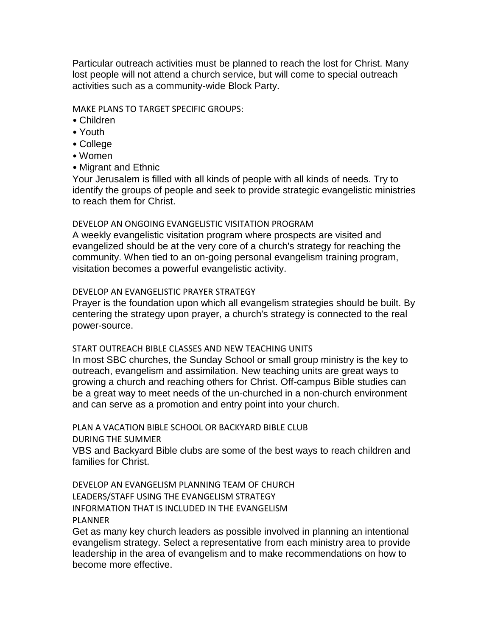Particular outreach activities must be planned to reach the lost for Christ. Many lost people will not attend a church service, but will come to special outreach activities such as a community-wide Block Party.

MAKE PLANS TO TARGET SPECIFIC GROUPS:

- Children
- Youth
- College
- Women
- Migrant and Ethnic

Your Jerusalem is filled with all kinds of people with all kinds of needs. Try to identify the groups of people and seek to provide strategic evangelistic ministries to reach them for Christ.

## DEVELOP AN ONGOING EVANGELISTIC VISITATION PROGRAM

A weekly evangelistic visitation program where prospects are visited and evangelized should be at the very core of a church's strategy for reaching the community. When tied to an on-going personal evangelism training program, visitation becomes a powerful evangelistic activity.

## DEVELOP AN EVANGELISTIC PRAYER STRATEGY

Prayer is the foundation upon which all evangelism strategies should be built. By centering the strategy upon prayer, a church's strategy is connected to the real power-source.

## START OUTREACH BIBLE CLASSES AND NEW TEACHING UNITS

In most SBC churches, the Sunday School or small group ministry is the key to outreach, evangelism and assimilation. New teaching units are great ways to growing a church and reaching others for Christ. Off-campus Bible studies can be a great way to meet needs of the un-churched in a non-church environment and can serve as a promotion and entry point into your church.

PLAN A VACATION BIBLE SCHOOL OR BACKYARD BIBLE CLUB

DURING THE SUMMER

VBS and Backyard Bible clubs are some of the best ways to reach children and families for Christ.

DEVELOP AN EVANGELISM PLANNING TEAM OF CHURCH LEADERS/STAFF USING THE EVANGELISM STRATEGY INFORMATION THAT IS INCLUDED IN THE EVANGELISM PLANNER

Get as many key church leaders as possible involved in planning an intentional evangelism strategy. Select a representative from each ministry area to provide leadership in the area of evangelism and to make recommendations on how to become more effective.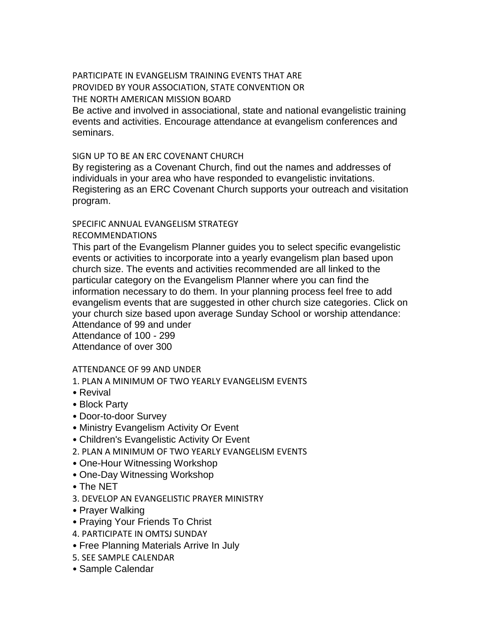# PARTICIPATE IN EVANGELISM TRAINING EVENTS THAT ARE PROVIDED BY YOUR ASSOCIATION, STATE CONVENTION OR THE NORTH AMERICAN MISSION BOARD

Be active and involved in associational, state and national evangelistic training events and activities. Encourage attendance at evangelism conferences and seminars.

## SIGN UP TO BE AN ERC COVENANT CHURCH

By registering as a Covenant Church, find out the names and addresses of individuals in your area who have responded to evangelistic invitations. Registering as an ERC Covenant Church supports your outreach and visitation program.

# SPECIFIC ANNUAL EVANGELISM STRATEGY

RECOMMENDATIONS

This part of the Evangelism Planner guides you to select specific evangelistic events or activities to incorporate into a yearly evangelism plan based upon church size. The events and activities recommended are all linked to the particular category on the Evangelism Planner where you can find the information necessary to do them. In your planning process feel free to add evangelism events that are suggested in other church size categories. Click on your church size based upon average Sunday School or worship attendance: Attendance of 99 and under Attendance of 100 - 299

Attendance of over 300

## ATTENDANCE OF 99 AND UNDER

- 1. PLAN A MINIMUM OF TWO YEARLY EVANGELISM EVENTS
- Revival
- Block Party
- Door-to-door Survey
- Ministry Evangelism Activity Or Event
- Children's Evangelistic Activity Or Event
- 2. PLAN A MINIMUM OF TWO YEARLY EVANGELISM EVENTS
- One-Hour Witnessing Workshop
- One-Day Witnessing Workshop
- The NET
- 3. DEVELOP AN EVANGELISTIC PRAYER MINISTRY
- Prayer Walking
- Praying Your Friends To Christ
- 4. PARTICIPATE IN OMTSJ SUNDAY
- Free Planning Materials Arrive In July
- 5. SEE SAMPLE CALENDAR
- Sample Calendar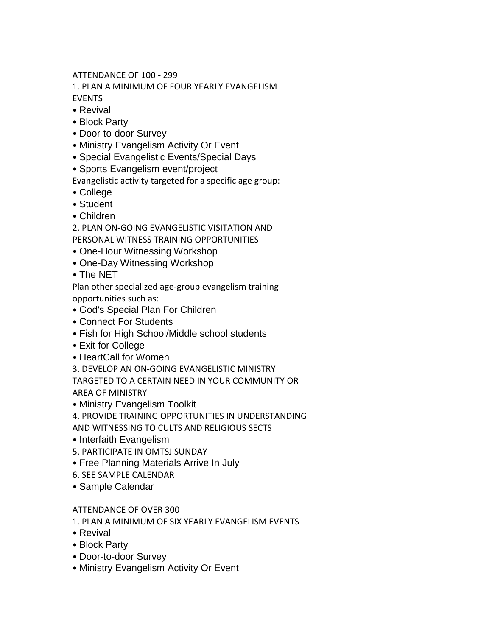ATTENDANCE OF 100 - 299

1. PLAN A MINIMUM OF FOUR YEARLY EVANGELISM EVENTS

- Revival
- Block Party
- Door-to-door Survey
- Ministry Evangelism Activity Or Event
- Special Evangelistic Events/Special Days
- Sports Evangelism event/project

Evangelistic activity targeted for a specific age group:

- College
- Student
- Children

2. PLAN ON-GOING EVANGELISTIC VISITATION AND PERSONAL WITNESS TRAINING OPPORTUNITIES

- One-Hour Witnessing Workshop
- One-Day Witnessing Workshop
- The NET

Plan other specialized age-group evangelism training opportunities such as:

- God's Special Plan For Children
- Connect For Students
- Fish for High School/Middle school students
- Exit for College
- HeartCall for Women

3. DEVELOP AN ON-GOING EVANGELISTIC MINISTRY

TARGETED TO A CERTAIN NEED IN YOUR COMMUNITY OR AREA OF MINISTRY

• Ministry Evangelism Toolkit

4. PROVIDE TRAINING OPPORTUNITIES IN UNDERSTANDING

AND WITNESSING TO CULTS AND RELIGIOUS SECTS

- Interfaith Evangelism
- 5. PARTICIPATE IN OMTSJ SUNDAY
- Free Planning Materials Arrive In July
- 6. SEE SAMPLE CALENDAR
- Sample Calendar

# ATTENDANCE OF OVER 300

1. PLAN A MINIMUM OF SIX YEARLY EVANGELISM EVENTS

- Revival
- Block Party
- Door-to-door Survey
- Ministry Evangelism Activity Or Event